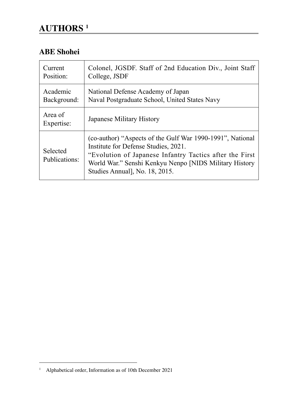# **AUTHORS 1**

### **ABE Shohei**

| Current                   | Colonel, JGSDF. Staff of 2nd Education Div., Joint Staff                                                                                                                                                                                                |
|---------------------------|---------------------------------------------------------------------------------------------------------------------------------------------------------------------------------------------------------------------------------------------------------|
| Position:                 | College, JSDF                                                                                                                                                                                                                                           |
| Academic                  | National Defense Academy of Japan                                                                                                                                                                                                                       |
| Background:               | Naval Postgraduate School, United States Navy                                                                                                                                                                                                           |
| Area of<br>Expertise:     | Japanese Military History                                                                                                                                                                                                                               |
| Selected<br>Publications: | (co-author) "Aspects of the Gulf War 1990-1991", National<br>Institute for Defense Studies, 2021.<br>"Evolution of Japanese Infantry Tactics after the First<br>World War." Senshi Kenkyu Nenpo [NIDS Military History<br>Studies Annual, No. 18, 2015. |

<sup>1</sup> Alphabetical order, Information as of 10th December 2021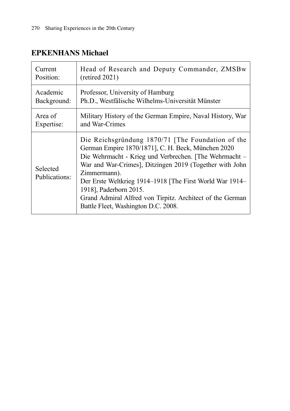#### **EPKENHANS Michael**

| Current                   | Head of Research and Deputy Commander, ZMSBw                                                                                                                                                                                                                                                                                                                                                                                           |
|---------------------------|----------------------------------------------------------------------------------------------------------------------------------------------------------------------------------------------------------------------------------------------------------------------------------------------------------------------------------------------------------------------------------------------------------------------------------------|
| Position:                 | $(\text{retired }2021)$                                                                                                                                                                                                                                                                                                                                                                                                                |
| Academic                  | Professor, University of Hamburg                                                                                                                                                                                                                                                                                                                                                                                                       |
| Background:               | Ph.D., Westfälische Wilhelms-Universität Münster                                                                                                                                                                                                                                                                                                                                                                                       |
| Area of                   | Military History of the German Empire, Naval History, War                                                                                                                                                                                                                                                                                                                                                                              |
| Expertise:                | and War-Crimes                                                                                                                                                                                                                                                                                                                                                                                                                         |
| Selected<br>Publications: | Die Reichsgründung 1870/71 [The Foundation of the<br>German Empire 1870/1871], C. H. Beck, München 2020<br>Die Wehrmacht - Krieg und Verbrechen. [The Wehrmacht -<br>War and War-Crimes], Ditzingen 2019 (Together with John<br>Zimmermann).<br>Der Erste Weltkrieg 1914-1918 [The First World War 1914-<br>1918], Paderborn 2015.<br>Grand Admiral Alfred von Tirpitz. Architect of the German<br>Battle Fleet, Washington D.C. 2008. |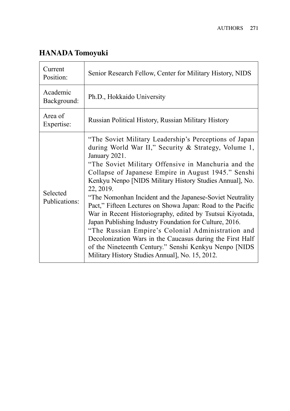# **HANADA Tomoyuki**

| Current<br>Position:      | Senior Research Fellow, Center for Military History, NIDS                                                                                                                                                                                                                                                                                                                                                                                                                                                                                                                                                                                                                                                                                                                                                 |
|---------------------------|-----------------------------------------------------------------------------------------------------------------------------------------------------------------------------------------------------------------------------------------------------------------------------------------------------------------------------------------------------------------------------------------------------------------------------------------------------------------------------------------------------------------------------------------------------------------------------------------------------------------------------------------------------------------------------------------------------------------------------------------------------------------------------------------------------------|
| Academic<br>Background:   | Ph.D., Hokkaido University                                                                                                                                                                                                                                                                                                                                                                                                                                                                                                                                                                                                                                                                                                                                                                                |
| Area of<br>Expertise:     | Russian Political History, Russian Military History                                                                                                                                                                                                                                                                                                                                                                                                                                                                                                                                                                                                                                                                                                                                                       |
| Selected<br>Publications: | "The Soviet Military Leadership's Perceptions of Japan<br>during World War II," Security & Strategy, Volume 1,<br>January 2021.<br>"The Soviet Military Offensive in Manchuria and the<br>Collapse of Japanese Empire in August 1945." Senshi<br>Kenkyu Nenpo [NIDS Military History Studies Annual], No.<br>22, 2019.<br>"The Nomonhan Incident and the Japanese-Soviet Neutrality"<br>Pact," Fifteen Lectures on Showa Japan: Road to the Pacific<br>War in Recent Historiography, edited by Tsutsui Kiyotada,<br>Japan Publishing Industry Foundation for Culture, 2016.<br>"The Russian Empire's Colonial Administration and<br>Decolonization Wars in the Caucasus during the First Half<br>of the Nineteenth Century." Senshi Kenkyu Nenpo [NIDS<br>Military History Studies Annual], No. 15, 2012. |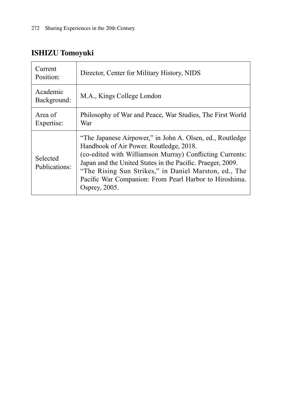# **ISHIZU Tomoyuki**

| Current<br>Position:      | Director, Center for Military History, NIDS                                                                                                                                                                                                                                                                                                                        |
|---------------------------|--------------------------------------------------------------------------------------------------------------------------------------------------------------------------------------------------------------------------------------------------------------------------------------------------------------------------------------------------------------------|
| Academic<br>Background:   | M.A., Kings College London                                                                                                                                                                                                                                                                                                                                         |
| Area of<br>Expertise:     | Philosophy of War and Peace, War Studies, The First World<br>War                                                                                                                                                                                                                                                                                                   |
| Selected<br>Publications: | "The Japanese Airpower," in John A. Olsen, ed., Routledge<br>Handbook of Air Power. Routledge, 2018.<br>(co-edited with Williamson Murray) Conflicting Currents:<br>Japan and the United States in the Pacific. Praeger, 2009.<br>"The Rising Sun Strikes," in Daniel Marston, ed., The<br>Pacific War Companion: From Pearl Harbor to Hiroshima.<br>Osprey, 2005. |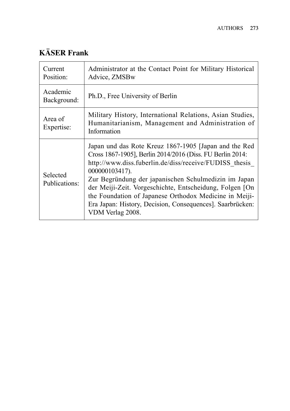# **KÄSER Frank**

| Current<br>Position:      | Administrator at the Contact Point for Military Historical<br>Advice, ZMSBw                                                                                                                                                                                                                                                                                                                                                                                  |
|---------------------------|--------------------------------------------------------------------------------------------------------------------------------------------------------------------------------------------------------------------------------------------------------------------------------------------------------------------------------------------------------------------------------------------------------------------------------------------------------------|
| Academic<br>Background:   | Ph.D., Free University of Berlin                                                                                                                                                                                                                                                                                                                                                                                                                             |
| Area of<br>Expertise:     | Military History, International Relations, Asian Studies,<br>Humanitarianism, Management and Administration of<br>Information                                                                                                                                                                                                                                                                                                                                |
| Selected<br>Publications: | Japan und das Rote Kreuz 1867-1905 [Japan and the Red<br>Cross 1867-1905], Berlin 2014/2016 (Diss. FU Berlin 2014:<br>http://www.diss.fuberlin.de/diss/receive/FUDISS thesis<br>000000103417).<br>Zur Begründung der japanischen Schulmedizin im Japan<br>der Meiji-Zeit. Vorgeschichte, Entscheidung, Folgen [On<br>the Foundation of Japanese Orthodox Medicine in Meiji-<br>Era Japan: History, Decision, Consequences]. Saarbrücken:<br>VDM Verlag 2008. |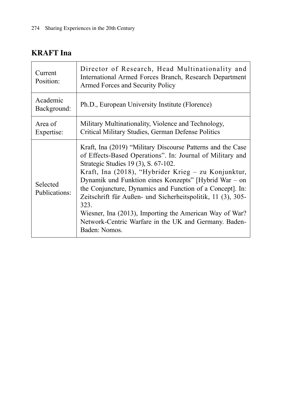## **KRAFT Ina**

| Current<br>Position:      | Director of Research, Head Multinationality and<br>International Armed Forces Branch, Research Department<br>Armed Forces and Security Policy                                                                                                                                                                                                                                                                                                                                                                                                             |
|---------------------------|-----------------------------------------------------------------------------------------------------------------------------------------------------------------------------------------------------------------------------------------------------------------------------------------------------------------------------------------------------------------------------------------------------------------------------------------------------------------------------------------------------------------------------------------------------------|
| Academic<br>Background:   | Ph.D., European University Institute (Florence)                                                                                                                                                                                                                                                                                                                                                                                                                                                                                                           |
| Area of<br>Expertise:     | Military Multinationality, Violence and Technology,<br>Critical Military Studies, German Defense Politics                                                                                                                                                                                                                                                                                                                                                                                                                                                 |
| Selected<br>Publications: | Kraft, Ina (2019) "Military Discourse Patterns and the Case<br>of Effects-Based Operations". In: Journal of Military and<br>Strategic Studies 19 (3), S. 67-102.<br>Kraft, Ina (2018), "Hybrider Krieg - zu Konjunktur,<br>Dynamik und Funktion eines Konzepts" [Hybrid War – on<br>the Conjuncture, Dynamics and Function of a Concept]. In:<br>Zeitschrift für Außen- und Sicherheitspolitik, 11 (3), 305-<br>323.<br>Wiesner, Ina (2013), Importing the American Way of War?<br>Network-Centric Warfare in the UK and Germany. Baden-<br>Baden: Nomos. |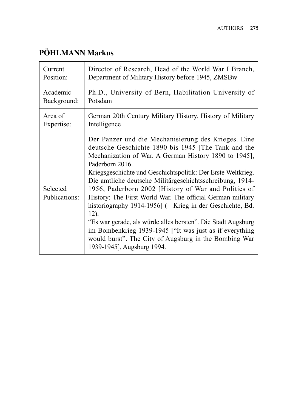# **PÖHLMANN Markus**

| Current                   | Director of Research, Head of the World War I Branch,                                                                                                                                                                                                                                                                                                                                                                                                                                                                                                                                                                                                                                                                             |
|---------------------------|-----------------------------------------------------------------------------------------------------------------------------------------------------------------------------------------------------------------------------------------------------------------------------------------------------------------------------------------------------------------------------------------------------------------------------------------------------------------------------------------------------------------------------------------------------------------------------------------------------------------------------------------------------------------------------------------------------------------------------------|
| Position:                 | Department of Military History before 1945, ZMSBw                                                                                                                                                                                                                                                                                                                                                                                                                                                                                                                                                                                                                                                                                 |
| Academic                  | Ph.D., University of Bern, Habilitation University of                                                                                                                                                                                                                                                                                                                                                                                                                                                                                                                                                                                                                                                                             |
| Background:               | Potsdam                                                                                                                                                                                                                                                                                                                                                                                                                                                                                                                                                                                                                                                                                                                           |
| Area of                   | German 20th Century Military History, History of Military                                                                                                                                                                                                                                                                                                                                                                                                                                                                                                                                                                                                                                                                         |
| Expertise:                | Intelligence                                                                                                                                                                                                                                                                                                                                                                                                                                                                                                                                                                                                                                                                                                                      |
| Selected<br>Publications: | Der Panzer und die Mechanisierung des Krieges. Eine<br>deutsche Geschichte 1890 bis 1945 [The Tank and the<br>Mechanization of War. A German History 1890 to 1945],<br>Paderborn 2016.<br>Kriegsgeschichte und Geschichtspolitik: Der Erste Weltkrieg.<br>Die amtliche deutsche Militärgeschichtsschreibung, 1914-<br>1956, Paderborn 2002 [History of War and Politics of<br>History: The First World War. The official German military<br>historiography 1914-1956] $(=$ Krieg in der Geschichte, Bd.<br>12).<br>"Es war gerade, als würde alles bersten". Die Stadt Augsburg<br>im Bombenkrieg 1939-1945 ["It was just as if everything<br>would burst". The City of Augsburg in the Bombing War<br>1939-1945], Augsburg 1994. |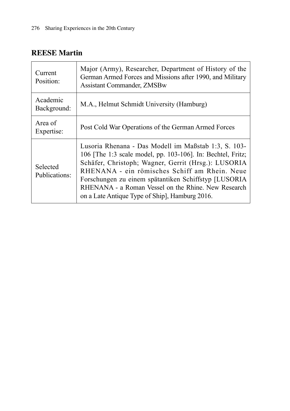#### **REESE Martin**

| Current<br>Position:      | Major (Army), Researcher, Department of History of the<br>German Armed Forces and Missions after 1990, and Military<br><b>Assistant Commander, ZMSBw</b>                                                                                                                                                                                                                                     |
|---------------------------|----------------------------------------------------------------------------------------------------------------------------------------------------------------------------------------------------------------------------------------------------------------------------------------------------------------------------------------------------------------------------------------------|
| Academic<br>Background:   | M.A., Helmut Schmidt University (Hamburg)                                                                                                                                                                                                                                                                                                                                                    |
| Area of<br>Expertise:     | Post Cold War Operations of the German Armed Forces                                                                                                                                                                                                                                                                                                                                          |
| Selected<br>Publications: | Lusoria Rhenana - Das Modell im Maßstab 1:3, S. 103-<br>106 [The 1:3 scale model, pp. 103-106]. In: Bechtel, Fritz;<br>Schäfer, Christoph; Wagner, Gerrit (Hrsg.): LUSORIA<br>RHENANA - ein römisches Schiff am Rhein. Neue<br>Forschungen zu einem spätantiken Schiffstyp [LUSORIA]<br>RHENANA - a Roman Vessel on the Rhine. New Research<br>on a Late Antique Type of Ship, Hamburg 2016. |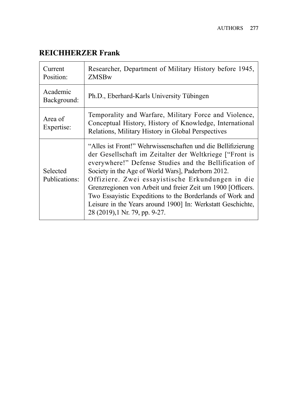### **REICHHERZER Frank**

| Current<br>Position:      | Researcher, Department of Military History before 1945,<br>ZMSBw                                                                                                                                                                                                                                                                                                                                                                                                                                                        |
|---------------------------|-------------------------------------------------------------------------------------------------------------------------------------------------------------------------------------------------------------------------------------------------------------------------------------------------------------------------------------------------------------------------------------------------------------------------------------------------------------------------------------------------------------------------|
| Academic<br>Background:   | Ph.D., Eberhard-Karls University Tübingen                                                                                                                                                                                                                                                                                                                                                                                                                                                                               |
| Area of<br>Expertise:     | Temporality and Warfare, Military Force and Violence,<br>Conceptual History, History of Knowledge, International<br>Relations, Military History in Global Perspectives                                                                                                                                                                                                                                                                                                                                                  |
| Selected<br>Publications: | "Alles ist Front!" Wehrwissenschaften und die Bellifizierung<br>der Gesellschaft im Zeitalter der Weltkriege ["Front is<br>everywhere!" Defense Studies and the Bellification of<br>Society in the Age of World Wars], Paderborn 2012.<br>Offiziere. Zwei essayistische Erkundungen in die<br>Grenzregionen von Arbeit und freier Zeit um 1900 [Officers.<br>Two Essayistic Expeditions to the Borderlands of Work and<br>Leisure in the Years around 1900] In: Werkstatt Geschichte,<br>28 (2019), 1 Nr. 79, pp. 9-27. |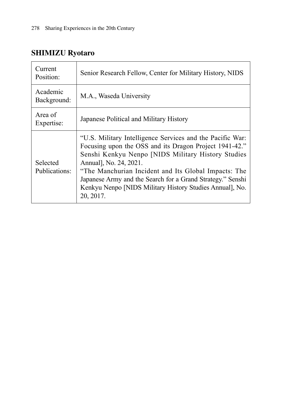# **SHIMIZU Ryotaro**

| Current<br>Position:      | Senior Research Fellow, Center for Military History, NIDS                                                                                                                                                                                                                                                                                                                                          |
|---------------------------|----------------------------------------------------------------------------------------------------------------------------------------------------------------------------------------------------------------------------------------------------------------------------------------------------------------------------------------------------------------------------------------------------|
| Academic<br>Background:   | M.A., Waseda University                                                                                                                                                                                                                                                                                                                                                                            |
| Area of<br>Expertise:     | Japanese Political and Military History                                                                                                                                                                                                                                                                                                                                                            |
| Selected<br>Publications: | "U.S. Military Intelligence Services and the Pacific War:<br>Focusing upon the OSS and its Dragon Project 1941-42."<br>Senshi Kenkyu Nenpo [NIDS Military History Studies<br>Annual], No. 24, 2021.<br>"The Manchurian Incident and Its Global Impacts: The<br>Japanese Army and the Search for a Grand Strategy." Senshi<br>Kenkyu Nenpo [NIDS Military History Studies Annual], No.<br>20, 2017. |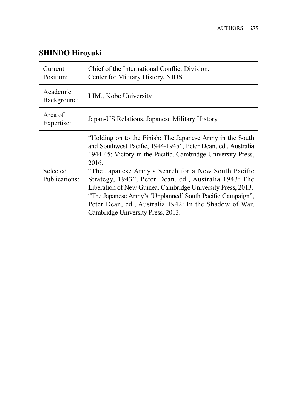# **SHINDO Hiroyuki**

| Current<br>Position:      | Chief of the International Conflict Division,<br>Center for Military History, NIDS                                                                                                                                                                                                                                                                                                                                                                                                                                                             |
|---------------------------|------------------------------------------------------------------------------------------------------------------------------------------------------------------------------------------------------------------------------------------------------------------------------------------------------------------------------------------------------------------------------------------------------------------------------------------------------------------------------------------------------------------------------------------------|
| Academic<br>Background:   | LIM., Kobe University                                                                                                                                                                                                                                                                                                                                                                                                                                                                                                                          |
| Area of<br>Expertise:     | Japan-US Relations, Japanese Military History                                                                                                                                                                                                                                                                                                                                                                                                                                                                                                  |
| Selected<br>Publications: | "Holding on to the Finish: The Japanese Army in the South<br>and Southwest Pacific, 1944-1945", Peter Dean, ed., Australia<br>1944-45: Victory in the Pacific. Cambridge University Press,<br>2016.<br>"The Japanese Army's Search for a New South Pacific<br>Strategy, 1943", Peter Dean, ed., Australia 1943: The<br>Liberation of New Guinea. Cambridge University Press, 2013.<br>"The Japanese Army's 'Unplanned' South Pacific Campaign",<br>Peter Dean, ed., Australia 1942: In the Shadow of War.<br>Cambridge University Press, 2013. |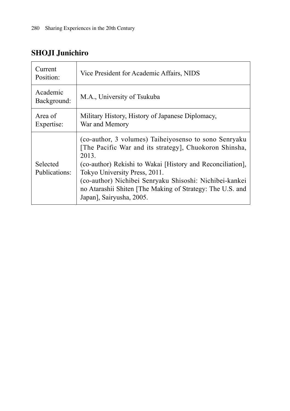# **SHOJI Junichiro**

| Current<br>Position:      | Vice President for Academic Affairs, NIDS                                                                                                                                                                                                                                                                                                                                   |
|---------------------------|-----------------------------------------------------------------------------------------------------------------------------------------------------------------------------------------------------------------------------------------------------------------------------------------------------------------------------------------------------------------------------|
| Academic<br>Background:   | M.A., University of Tsukuba                                                                                                                                                                                                                                                                                                                                                 |
| Area of<br>Expertise:     | Military History, History of Japanese Diplomacy,<br>War and Memory                                                                                                                                                                                                                                                                                                          |
| Selected<br>Publications: | (co-author, 3 volumes) Taiheiyosenso to sono Senryaku<br>[The Pacific War and its strategy], Chuokoron Shinsha,<br>2013.<br>(co-author) Rekishi to Wakai [History and Reconciliation],<br>Tokyo University Press, 2011.<br>(co-author) Nichibei Senryaku Shisoshi: Nichibei-kankei<br>no Atarashii Shiten [The Making of Strategy: The U.S. and<br>Japan], Sairyusha, 2005. |